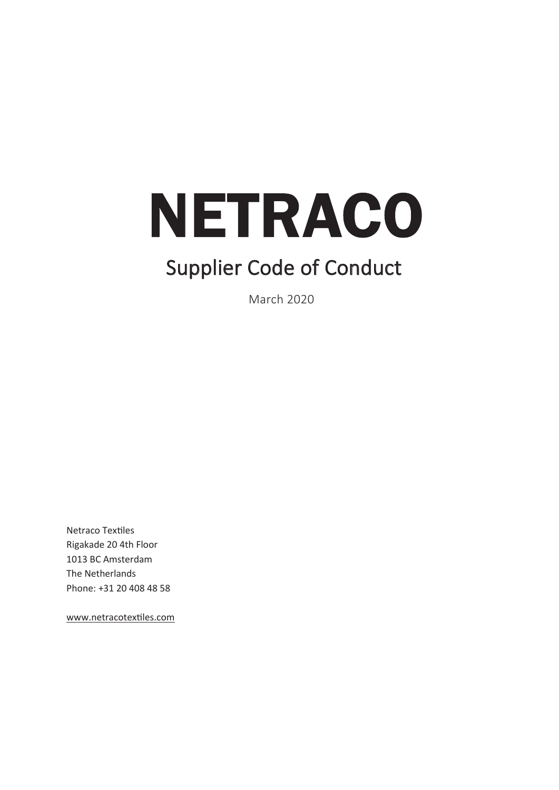

# **Supplier Code of Conduct**

**March 2020** 

Netraco Textiles Rigakade 20 4th Floor 1013 BC Amsterdam The Netherlands Phone: +31 20 408 48 58

www.netracotextiles.com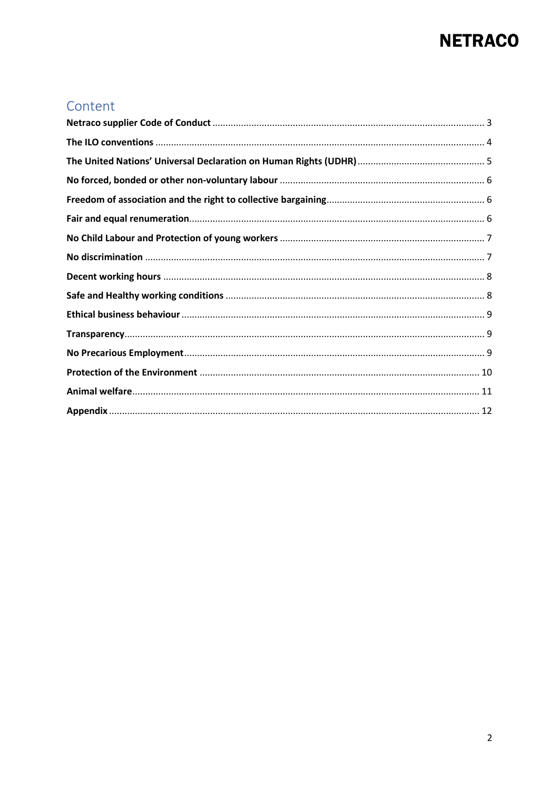### Content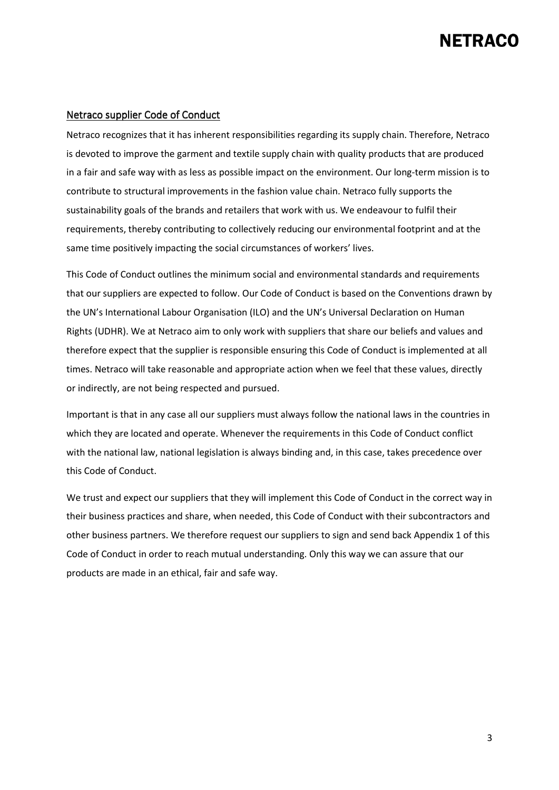#### Netraco supplier Code of Conduct

Netraco recognizes that it has inherent responsibilities regarding its supply chain. Therefore, Netraco is devoted to improve the garment and textile supply chain with quality products that are produced in a fair and safe way with as less as possible impact on the environment. Our long-term mission is to contribute to structural improvements in the fashion value chain. Netraco fully supports the sustainability goals of the brands and retailers that work with us. We endeavour to fulfil their requirements, thereby contributing to collectively reducing our environmental footprint and at the same time positively impacting the social circumstances of workers' lives.

This Code of Conduct outlines the minimum social and environmental standards and requirements that our suppliers are expected to follow. Our Code of Conduct is based on the Conventions drawn by the UN's International Labour Organisation (ILO) and the UN's Universal Declaration on Human Rights (UDHR). We at Netraco aim to only work with suppliers that share our beliefs and values and therefore expect that the supplier is responsible ensuring this Code of Conduct is implemented at all times. Netraco will take reasonable and appropriate action when we feel that these values, directly or indirectly, are not being respected and pursued.

Important is that in any case all our suppliers must always follow the national laws in the countries in which they are located and operate. Whenever the requirements in this Code of Conduct conflict with the national law, national legislation is always binding and, in this case, takes precedence over this Code of Conduct.

We trust and expect our suppliers that they will implement this Code of Conduct in the correct way in their business practices and share, when needed, this Code of Conduct with their subcontractors and other business partners. We therefore request our suppliers to sign and send back Appendix 1 of this Code of Conduct in order to reach mutual understanding. Only this way we can assure that our products are made in an ethical, fair and safe way.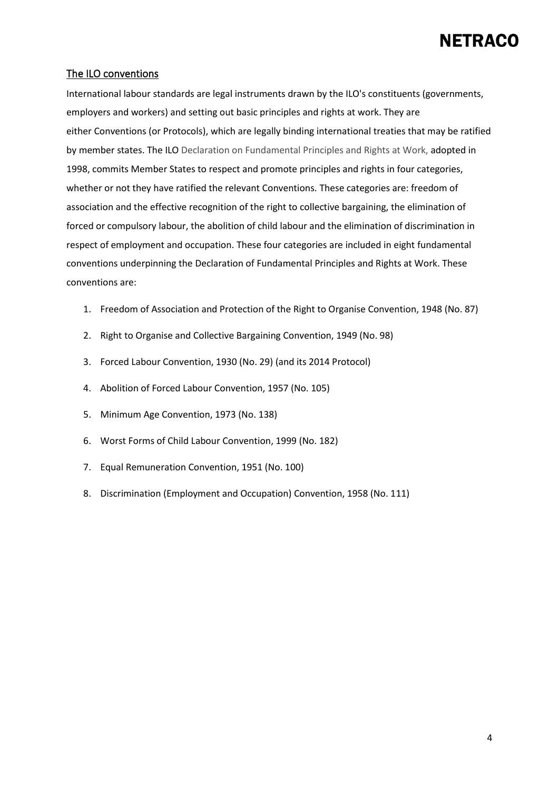#### The ILO conventions

International labour standards are legal instruments drawn by the ILO's constituents (governments, employers and workers) and setting out basic principles and rights at work. They are either Conventions (or Protocols), which are legally binding international treaties that may be ratified by member states. The ILO Declaration on Fundamental Principles and Rights at Work, adopted in 1998, commits Member States to respect and promote principles and rights in four categories, whether or not they have ratified the relevant Conventions. These categories are: freedom of association and the effective recognition of the right to collective bargaining, the elimination of forced or compulsory labour, the abolition of child labour and the elimination of discrimination in respect of employment and occupation. These four categories are included in eight fundamental conventions underpinning the Declaration of Fundamental Principles and Rights at Work. These conventions are:

- 1. Freedom of Association and Protection of the Right to Organise Convention, 1948 (No. 87)
- 2. Right to Organise and Collective Bargaining Convention, 1949 (No. 98)
- 3. Forced Labour Convention, 1930 (No. 29) (and its 2014 Protocol)
- 4. Abolition of Forced Labour Convention, 1957 (No. 105)
- 5. Minimum Age Convention, 1973 (No. 138)
- 6. Worst Forms of Child Labour Convention, 1999 (No. 182)
- 7. Equal Remuneration Convention, 1951 (No. 100)
- 8. Discrimination (Employment and Occupation) Convention, 1958 (No. 111)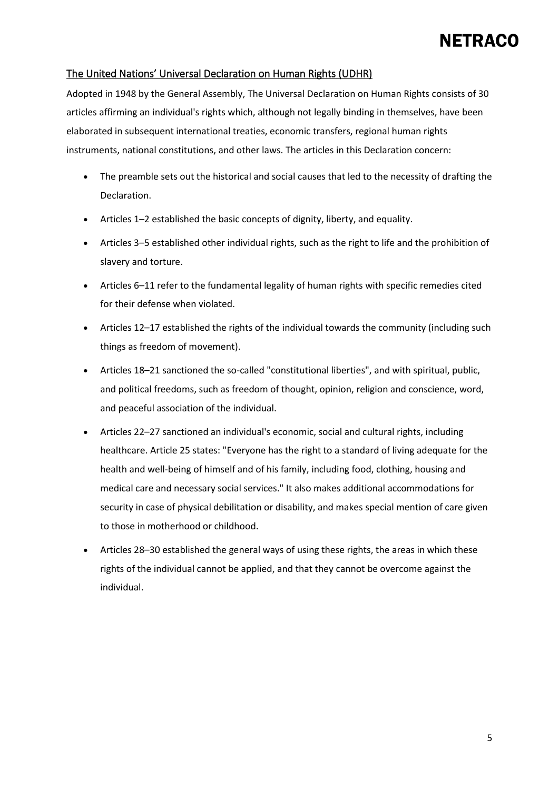#### The United Nations' Universal Declaration on Human Rights (UDHR)

Adopted in 1948 by the General Assembly, The Universal Declaration on Human Rights consists of 30 articles affirming an individual's rights which, although not legally binding in themselves, have been elaborated in subsequent international treaties, economic transfers, regional human rights instruments, national constitutions, and other laws. The articles in this Declaration concern:

- The preamble sets out the historical and social causes that led to the necessity of drafting the Declaration.
- Articles 1–2 established the basic concepts of dignity, liberty, and equality.
- Articles 3–5 established other individual rights, such as the right to life and the prohibition of slavery and torture.
- Articles 6–11 refer to the fundamental legality of human rights with specific remedies cited for their defense when violated.
- Articles 12–17 established the rights of the individual towards the community (including such things as freedom of movement).
- Articles 18–21 sanctioned the so-called "constitutional liberties", and with spiritual, public, and political freedoms, such as freedom of thought, opinion, religion and conscience, word, and peaceful association of the individual.
- Articles 22–27 sanctioned an individual's economic, social and cultural rights, including healthcare. Article 25 states: "Everyone has the right to a standard of living adequate for the health and well-being of himself and of his family, including food, clothing, housing and medical care and necessary social services." It also makes additional accommodations for security in case of physical debilitation or disability, and makes special mention of care given to those in motherhood or childhood.
- Articles 28–30 established the general ways of using these rights, the areas in which these rights of the individual cannot be applied, and that they cannot be overcome against the individual.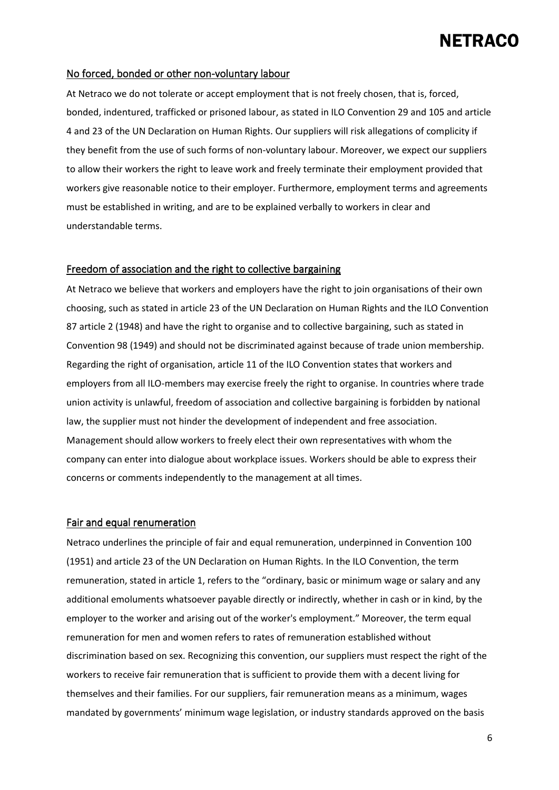#### No forced, bonded or other non-voluntary labour

At Netraco we do not tolerate or accept employment that is not freely chosen, that is, forced, bonded, indentured, trafficked or prisoned labour, as stated in ILO Convention 29 and 105 and article 4 and 23 of the UN Declaration on Human Rights. Our suppliers will risk allegations of complicity if they benefit from the use of such forms of non-voluntary labour. Moreover, we expect our suppliers to allow their workers the right to leave work and freely terminate their employment provided that workers give reasonable notice to their employer. Furthermore, employment terms and agreements must be established in writing, and are to be explained verbally to workers in clear and understandable terms.

#### Freedom of association and the right to collective bargaining

At Netraco we believe that workers and employers have the right to join organisations of their own choosing, such as stated in article 23 of the UN Declaration on Human Rights and the ILO Convention 87 article 2 (1948) and have the right to organise and to collective bargaining, such as stated in Convention 98 (1949) and should not be discriminated against because of trade union membership. Regarding the right of organisation, article 11 of the ILO Convention states that workers and employers from all ILO-members may exercise freely the right to organise. In countries where trade union activity is unlawful, freedom of association and collective bargaining is forbidden by national law, the supplier must not hinder the development of independent and free association. Management should allow workers to freely elect their own representatives with whom the company can enter into dialogue about workplace issues. Workers should be able to express their concerns or comments independently to the management at all times.

#### Fair and equal renumeration

Netraco underlines the principle of fair and equal remuneration, underpinned in Convention 100 (1951) and article 23 of the UN Declaration on Human Rights. In the ILO Convention, the term remuneration, stated in article 1, refers to the "ordinary, basic or minimum wage or salary and any additional emoluments whatsoever payable directly or indirectly, whether in cash or in kind, by the employer to the worker and arising out of the worker's employment." Moreover, the term equal remuneration for men and women refers to rates of remuneration established without discrimination based on sex. Recognizing this convention, our suppliers must respect the right of the workers to receive fair remuneration that is sufficient to provide them with a decent living for themselves and their families. For our suppliers, fair remuneration means as a minimum, wages mandated by governments' minimum wage legislation, or industry standards approved on the basis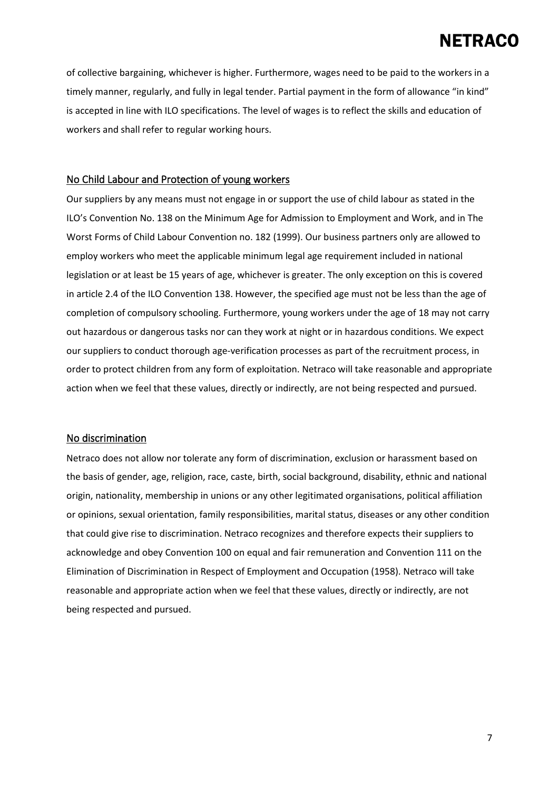of collective bargaining, whichever is higher. Furthermore, wages need to be paid to the workers in a timely manner, regularly, and fully in legal tender. Partial payment in the form of allowance "in kind" is accepted in line with ILO specifications. The level of wages is to reflect the skills and education of workers and shall refer to regular working hours.

#### No Child Labour and Protection of young workers

Our suppliers by any means must not engage in or support the use of child labour as stated in the ILO's Convention No. 138 on the Minimum Age for Admission to Employment and Work, and in The Worst Forms of Child Labour Convention no. 182 (1999). Our business partners only are allowed to employ workers who meet the applicable minimum legal age requirement included in national legislation or at least be 15 years of age, whichever is greater. The only exception on this is covered in article 2.4 of the ILO Convention 138. However, the specified age must not be less than the age of completion of compulsory schooling. Furthermore, young workers under the age of 18 may not carry out hazardous or dangerous tasks nor can they work at night or in hazardous conditions. We expect our suppliers to conduct thorough age-verification processes as part of the recruitment process, in order to protect children from any form of exploitation. Netraco will take reasonable and appropriate action when we feel that these values, directly or indirectly, are not being respected and pursued.

#### No discrimination

Netraco does not allow nor tolerate any form of discrimination, exclusion or harassment based on the basis of gender, age, religion, race, caste, birth, social background, disability, ethnic and national origin, nationality, membership in unions or any other legitimated organisations, political affiliation or opinions, sexual orientation, family responsibilities, marital status, diseases or any other condition that could give rise to discrimination. Netraco recognizes and therefore expects their suppliers to acknowledge and obey Convention 100 on equal and fair remuneration and Convention 111 on the Elimination of Discrimination in Respect of Employment and Occupation (1958). Netraco will take reasonable and appropriate action when we feel that these values, directly or indirectly, are not being respected and pursued.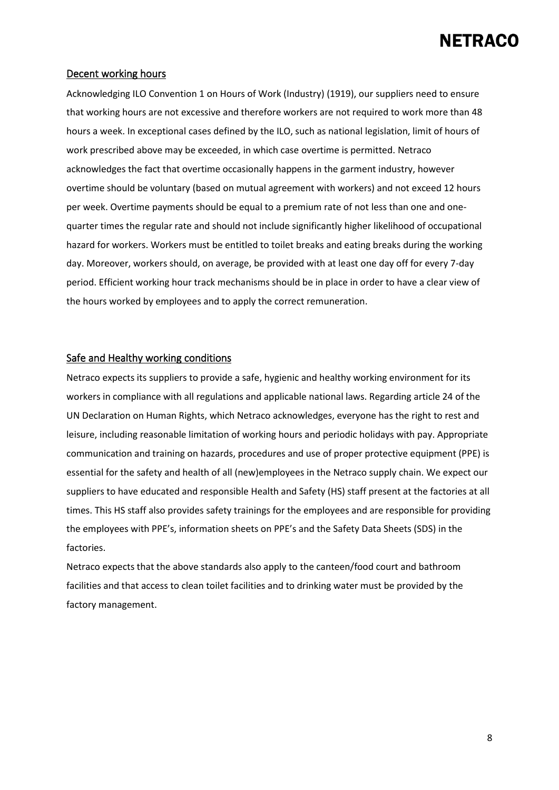#### Decent working hours

Acknowledging ILO Convention 1 on Hours of Work (Industry) (1919), our suppliers need to ensure that working hours are not excessive and therefore workers are not required to work more than 48 hours a week. In exceptional cases defined by the ILO, such as national legislation, limit of hours of work prescribed above may be exceeded, in which case overtime is permitted. Netraco acknowledges the fact that overtime occasionally happens in the garment industry, however overtime should be voluntary (based on mutual agreement with workers) and not exceed 12 hours per week. Overtime payments should be equal to a premium rate of not less than one and onequarter times the regular rate and should not include significantly higher likelihood of occupational hazard for workers. Workers must be entitled to toilet breaks and eating breaks during the working day. Moreover, workers should, on average, be provided with at least one day off for every 7-day period. Efficient working hour track mechanisms should be in place in order to have a clear view of the hours worked by employees and to apply the correct remuneration.

#### Safe and Healthy working conditions

Netraco expects its suppliers to provide a safe, hygienic and healthy working environment for its workers in compliance with all regulations and applicable national laws. Regarding article 24 of the UN Declaration on Human Rights, which Netraco acknowledges, everyone has the right to rest and leisure, including reasonable limitation of working hours and periodic holidays with pay. Appropriate communication and training on hazards, procedures and use of proper protective equipment (PPE) is essential for the safety and health of all (new)employees in the Netraco supply chain. We expect our suppliers to have educated and responsible Health and Safety (HS) staff present at the factories at all times. This HS staff also provides safety trainings for the employees and are responsible for providing the employees with PPE's, information sheets on PPE's and the Safety Data Sheets (SDS) in the factories.

Netraco expects that the above standards also apply to the canteen/food court and bathroom facilities and that access to clean toilet facilities and to drinking water must be provided by the factory management.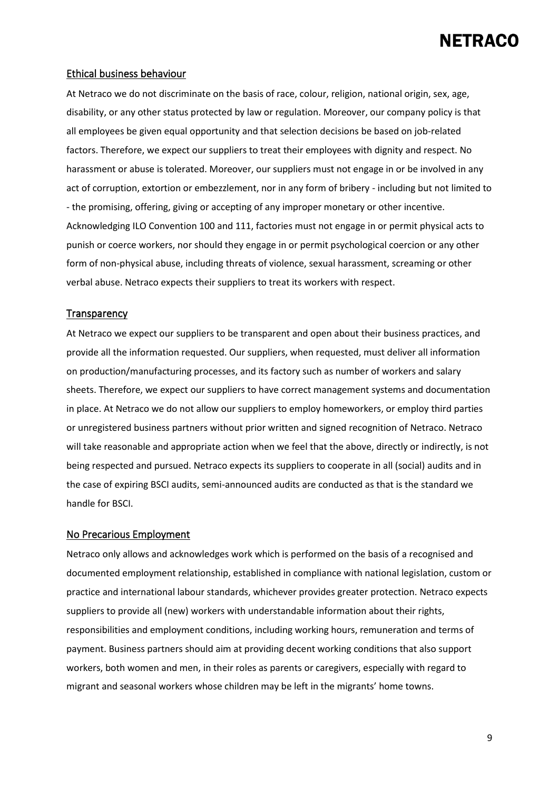#### Ethical business behaviour

At Netraco we do not discriminate on the basis of race, colour, religion, national origin, sex, age, disability, or any other status protected by law or regulation. Moreover, our company policy is that all employees be given equal opportunity and that selection decisions be based on job-related factors. Therefore, we expect our suppliers to treat their employees with dignity and respect. No harassment or abuse is tolerated. Moreover, our suppliers must not engage in or be involved in any act of corruption, extortion or embezzlement, nor in any form of bribery - including but not limited to - the promising, offering, giving or accepting of any improper monetary or other incentive. Acknowledging ILO Convention 100 and 111, factories must not engage in or permit physical acts to punish or coerce workers, nor should they engage in or permit psychological coercion or any other form of non-physical abuse, including threats of violence, sexual harassment, screaming or other verbal abuse. Netraco expects their suppliers to treat its workers with respect.

#### **Transparency**

At Netraco we expect our suppliers to be transparent and open about their business practices, and provide all the information requested. Our suppliers, when requested, must deliver all information on production/manufacturing processes, and its factory such as number of workers and salary sheets. Therefore, we expect our suppliers to have correct management systems and documentation in place. At Netraco we do not allow our suppliers to employ homeworkers, or employ third parties or unregistered business partners without prior written and signed recognition of Netraco. Netraco will take reasonable and appropriate action when we feel that the above, directly or indirectly, is not being respected and pursued. Netraco expects its suppliers to cooperate in all (social) audits and in the case of expiring BSCI audits, semi-announced audits are conducted as that is the standard we handle for BSCI.

#### No Precarious Employment

Netraco only allows and acknowledges work which is performed on the basis of a recognised and documented employment relationship, established in compliance with national legislation, custom or practice and international labour standards, whichever provides greater protection. Netraco expects suppliers to provide all (new) workers with understandable information about their rights, responsibilities and employment conditions, including working hours, remuneration and terms of payment. Business partners should aim at providing decent working conditions that also support workers, both women and men, in their roles as parents or caregivers, especially with regard to migrant and seasonal workers whose children may be left in the migrants' home towns.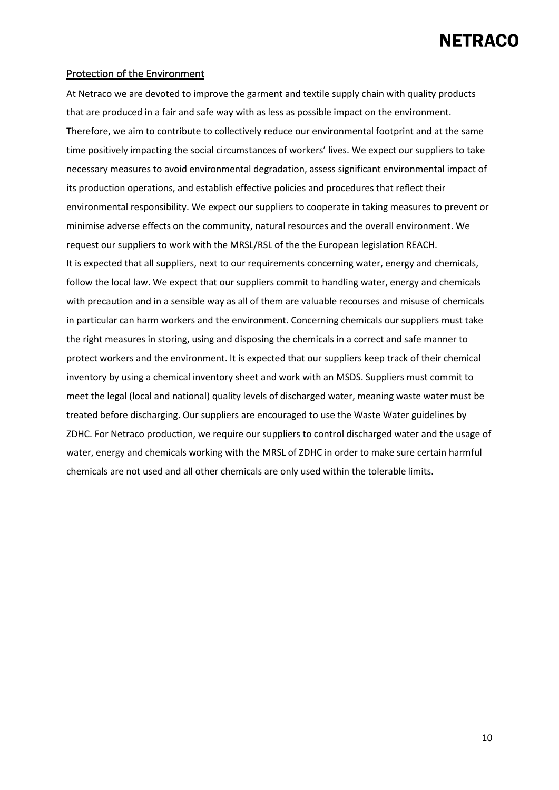#### Protection of the Environment

At Netraco we are devoted to improve the garment and textile supply chain with quality products that are produced in a fair and safe way with as less as possible impact on the environment. Therefore, we aim to contribute to collectively reduce our environmental footprint and at the same time positively impacting the social circumstances of workers' lives. We expect our suppliers to take necessary measures to avoid environmental degradation, assess significant environmental impact of its production operations, and establish effective policies and procedures that reflect their environmental responsibility. We expect our suppliers to cooperate in taking measures to prevent or minimise adverse effects on the community, natural resources and the overall environment. We request our suppliers to work with the MRSL/RSL of the the European legislation REACH. It is expected that all suppliers, next to our requirements concerning water, energy and chemicals, follow the local law. We expect that our suppliers commit to handling water, energy and chemicals with precaution and in a sensible way as all of them are valuable recourses and misuse of chemicals in particular can harm workers and the environment. Concerning chemicals our suppliers must take the right measures in storing, using and disposing the chemicals in a correct and safe manner to protect workers and the environment. It is expected that our suppliers keep track of their chemical inventory by using a chemical inventory sheet and work with an MSDS. Suppliers must commit to meet the legal (local and national) quality levels of discharged water, meaning waste water must be treated before discharging. Our suppliers are encouraged to use the Waste Water guidelines by ZDHC. For Netraco production, we require our suppliers to control discharged water and the usage of water, energy and chemicals working with the MRSL of ZDHC in order to make sure certain harmful chemicals are not used and all other chemicals are only used within the tolerable limits.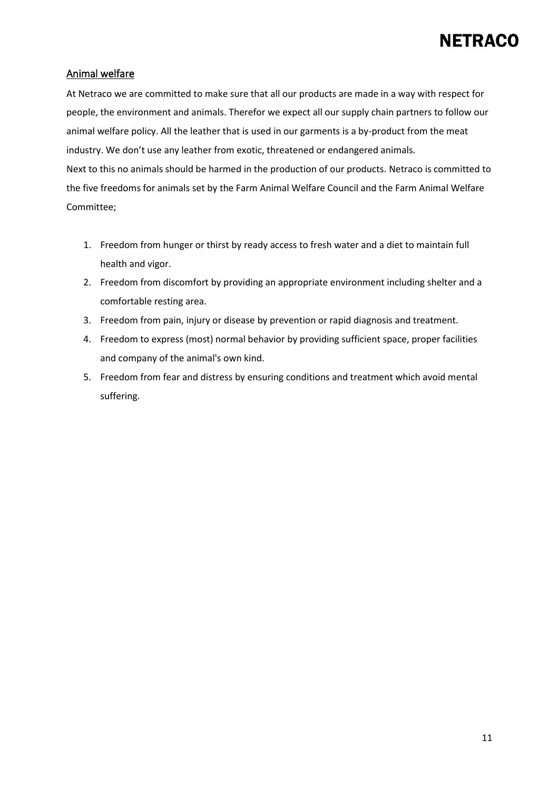#### Animal welfare

At Netraco we are committed to make sure that all our products are made in a way with respect for people, the environment and animals. Therefor we expect all our supply chain partners to follow our animal welfare policy. All the leather that is used in our garments is a by-product from the meat industry. We don't use any leather from exotic, threatened or endangered animals. Next to this no animals should be harmed in the production of our products. Netraco is committed to the five freedoms for animals set by the Farm Animal Welfare Council and the Farm Animal Welfare Committee;

- 1. Freedom from hunger or thirst by ready access to fresh water and a diet to maintain full health and vigor.
- 2. Freedom from discomfort by providing an appropriate environment including shelter and a comfortable resting area.
- 3. Freedom from pain, injury or disease by prevention or rapid diagnosis and treatment.
- 4. Freedom to express (most) normal behavior by providing sufficient space, proper facilities and company of the animal's own kind.
- 5. Freedom from fear and distress by ensuring conditions and treatment which avoid mental suffering.